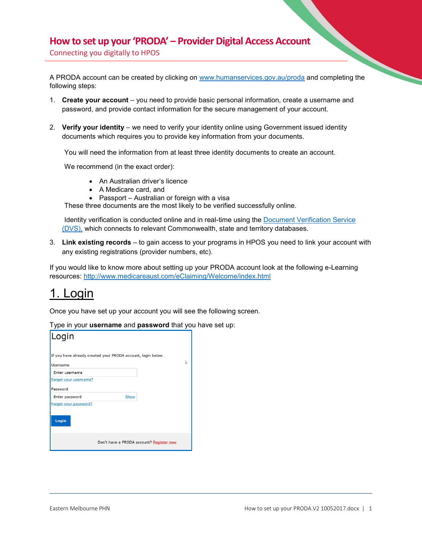#### **How to set up your 'PRODA' – Provider Digital Access Account**

Connecting you digitally to HPOS

A PRODA account can be created by clicking on [www.humanservices.gov.au/proda](http://www.humanservices.gov.au/proda) and completing the following steps:

- 1. **Create your account** you need to provide basic personal information, create a username and password, and provide contact information for the secure management of your account.
- 2. **Verify your identity** we need to verify your identity online using Government issued identity documents which requires you to provide key information from your documents.

You will need the information from at least three identity documents to create an account.

We recommend (in the exact order):

- An Australian driver's licence
- A Medicare card, and
- Passport Australian or foreign with a visa

These three documents are the most likely to be verified successfully online.

Identity verification is conducted online and in real-time using the [Document Verification Service](http://www.dvs.gov.au/Pages/default.aspx)  [\(DVS\),](http://www.dvs.gov.au/Pages/default.aspx) which connects to relevant Commonwealth, state and territory databases.

3. **Link existing records** – to gain access to your programs in HPOS you need to link your account with any existing registrations (provider numbers, etc).

If you would like to know more about setting up your PRODA account look at the following e-Learning resources:<http://www.medicareaust.com/eClaiming/Welcome/index.html>

## 1. Login

Once you have set up your account you will see the following screen.

Type in your **username** and **password** that you have set up:

| Login                          |                                                              |   |
|--------------------------------|--------------------------------------------------------------|---|
|                                | If you have already created your PRODA account, login below. |   |
| Username                       |                                                              | ↳ |
| Enter username                 |                                                              |   |
| Forgot your username?          |                                                              |   |
| Password                       |                                                              |   |
| Enter password                 | Show                                                         |   |
| Forgot your password?<br>Login |                                                              |   |
|                                | Don't have a PRODA account? Register now                     |   |
|                                |                                                              |   |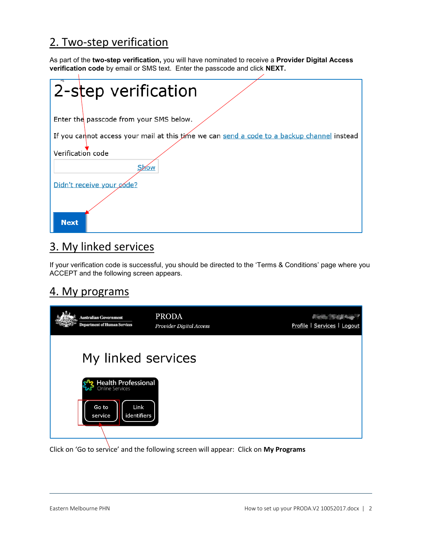### 2. Two-step verification

As part of the **two-step verification,** you will have nominated to receive a **Provider Digital Access verification code** by email or SMS text. Enter the passcode and click **NEXT.** 

|                           | 2-step verification                                                                        |
|---------------------------|--------------------------------------------------------------------------------------------|
|                           |                                                                                            |
|                           | Enter the passcode from your SMS below.                                                    |
|                           | If you cannot access your mail at this time we can send a code to a backup channel instead |
| Verification code         |                                                                                            |
| Show                      |                                                                                            |
| Didn't receive your code? |                                                                                            |
|                           |                                                                                            |
| <b>Next</b>               |                                                                                            |

## 3. My linked services

If your verification code is successful, you should be directed to the 'Terms & Conditions' page where you ACCEPT and the following screen appears.

### 4. My programs

| <b>Australian Government</b><br><b>Department of Human Services</b> | <b>PRODA</b><br>Provider Digital Access | <b><i>Pierre Septembre</i></b><br>Profile   Services   Logout |
|---------------------------------------------------------------------|-----------------------------------------|---------------------------------------------------------------|
| My linked services                                                  |                                         |                                                               |
| Health Professional                                                 |                                         |                                                               |
| Go to<br>Link<br>identifiers<br>service                             |                                         |                                                               |

Click on 'Go to service' and the following screen will appear: Click on **My Programs**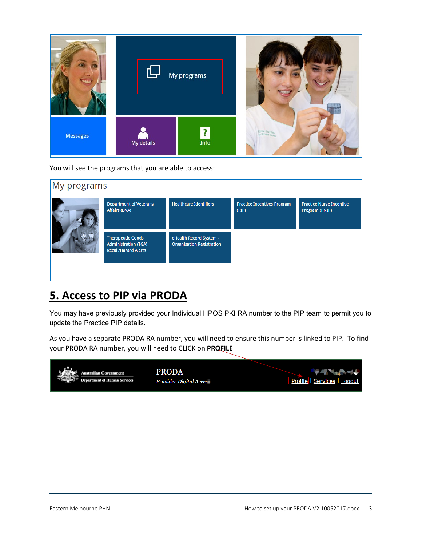

You will see the programs that you are able to access:



### **5. Access to PIP via PRODA**

You may have previously provided your Individual HPOS PKI RA number to the PIP team to permit you to update the Practice PIP details.

As you have a separate PRODA RA number, you will need to ensure this number is linked to PIP. To find your PRODA RA number, you will need to CLICK on **PROFILE**

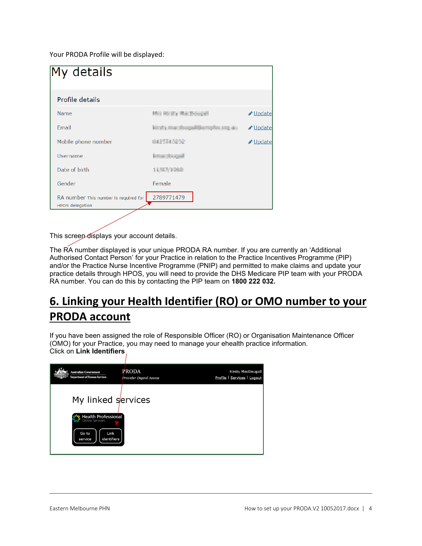Your PRODA Profile will be displayed:

| My details                                                      |                                   |          |
|-----------------------------------------------------------------|-----------------------------------|----------|
| Profile details                                                 |                                   |          |
| Name                                                            | Mrs Hy It's MacDougall            | Update   |
| <b>Fmail</b>                                                    | us po adquisitions that an attack | Update   |
| Mobile phone number                                             | <b>ALPERANCE</b>                  | ✔ Update |
| Username                                                        | <b>Image throughl</b>             |          |
| Date of birth                                                   | 11/87/1988                        |          |
| Gender                                                          | Female                            |          |
| RA number This number is required for<br><b>HPOS</b> delegation | 2789771479                        |          |

This screen displays your account details.

The RA number displayed is your unique PRODA RA number. If you are currently an 'Additional Authorised Contact Person' for your Practice in relation to the Practice Incentives Programme (PIP) and/or the Practice Nurse Incentive Programme (PNIP) and permitted to make claims and update your practice details through HPOS, you will need to provide the DHS Medicare PIP team with your PRODA RA number. You can do this by contacting the PIP team on **1800 222 032.**

# **6. Linking your Health Identifier (RO) or OMO number to your PRODA account**

If you have been assigned the role of Responsible Officer (RO) or Organisation Maintenance Officer (OMO) for your Practice, you may need to manage your ehealth practice information. Click on **Link Identifiers**

| <b>Australian Government</b>                                                                | PRODA                   | <b>Easty MacDougall</b>     |
|---------------------------------------------------------------------------------------------|-------------------------|-----------------------------|
| <b>Department of Human Services</b>                                                         | Provider Digital Access | Profile   Services   Logout |
| My linked services<br><b>Health Professional</b><br>Go to<br>Link<br>identifiers<br>service |                         |                             |